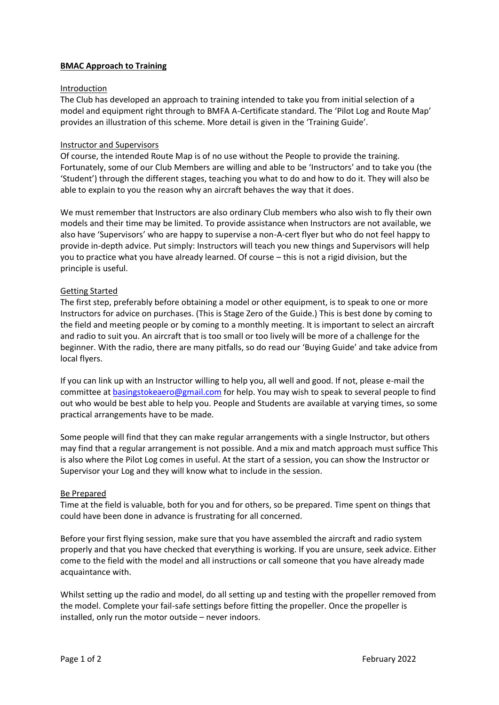# **BMAC Approach to Training**

### Introduction

The Club has developed an approach to training intended to take you from initial selection of a model and equipment right through to BMFA A-Certificate standard. The 'Pilot Log and Route Map' provides an illustration of this scheme. More detail is given in the 'Training Guide'.

## Instructor and Supervisors

Of course, the intended Route Map is of no use without the People to provide the training. Fortunately, some of our Club Members are willing and able to be 'Instructors' and to take you (the 'Student') through the different stages, teaching you what to do and how to do it. They will also be able to explain to you the reason why an aircraft behaves the way that it does.

We must remember that Instructors are also ordinary Club members who also wish to fly their own models and their time may be limited. To provide assistance when Instructors are not available, we also have 'Supervisors' who are happy to supervise a non-A-cert flyer but who do not feel happy to provide in-depth advice. Put simply: Instructors will teach you new things and Supervisors will help you to practice what you have already learned. Of course – this is not a rigid division, but the principle is useful.

# Getting Started

The first step, preferably before obtaining a model or other equipment, is to speak to one or more Instructors for advice on purchases. (This is Stage Zero of the Guide.) This is best done by coming to the field and meeting people or by coming to a monthly meeting. It is important to select an aircraft and radio to suit you. An aircraft that is too small or too lively will be more of a challenge for the beginner. With the radio, there are many pitfalls, so do read our 'Buying Guide' and take advice from local flyers.

If you can link up with an Instructor willing to help you, all well and good. If not, please e-mail the committee at [basingstokeaero@gmail.com](mailto:basingstokeaero@gmail.com) for help. You may wish to speak to several people to find out who would be best able to help you. People and Students are available at varying times, so some practical arrangements have to be made.

Some people will find that they can make regular arrangements with a single Instructor, but others may find that a regular arrangement is not possible. And a mix and match approach must suffice This is also where the Pilot Log comes in useful. At the start of a session, you can show the Instructor or Supervisor your Log and they will know what to include in the session.

### Be Prepared

Time at the field is valuable, both for you and for others, so be prepared. Time spent on things that could have been done in advance is frustrating for all concerned.

Before your first flying session, make sure that you have assembled the aircraft and radio system properly and that you have checked that everything is working. If you are unsure, seek advice. Either come to the field with the model and all instructions or call someone that you have already made acquaintance with.

Whilst setting up the radio and model, do all setting up and testing with the propeller removed from the model. Complete your fail-safe settings before fitting the propeller. Once the propeller is installed, only run the motor outside – never indoors.